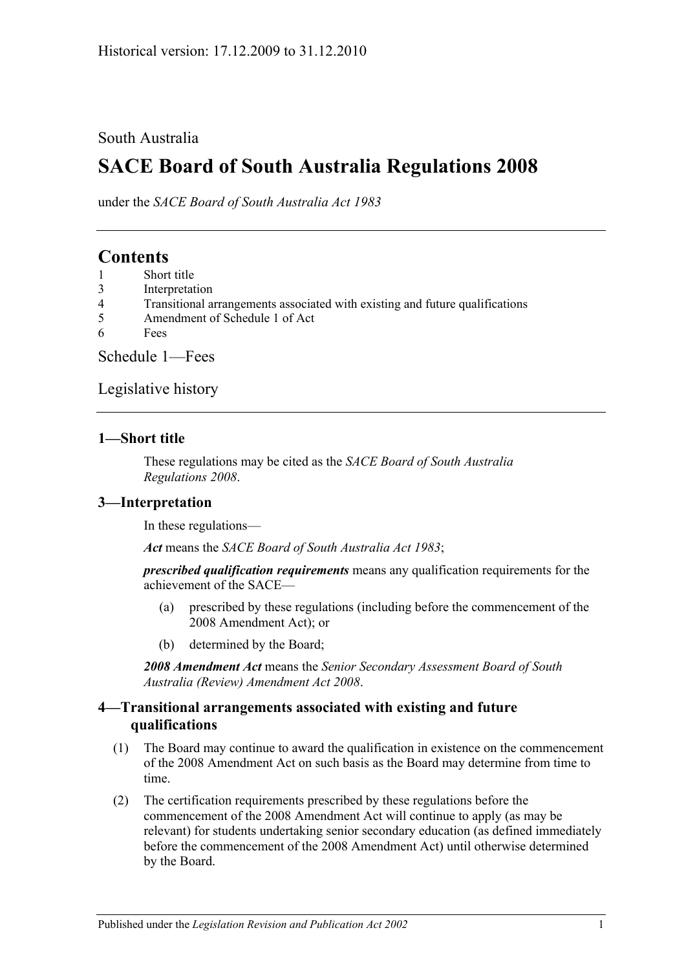### South Australia

# **SACE Board of South Australia Regulations 2008**

under the *SACE Board of South Australia Act 1983*

# **Contents**

- 1 [Short title](#page-0-0)
- 3 [Interpretation](#page-0-1)
- 4 [Transitional arrangements associated with existing and future qualifications](#page-0-2)
- 5 [Amendment of Schedule 1 of Act](#page-1-0)
- 6 [Fees](#page-1-1)

[Schedule](#page-1-2) 1—Fees

[Legislative history](#page-3-0)

#### <span id="page-0-0"></span>**1—Short title**

These regulations may be cited as the *SACE Board of South Australia Regulations 2008*.

### <span id="page-0-1"></span>**3—Interpretation**

In these regulations—

*Act* means the *[SACE Board of South Australia Act](http://www.legislation.sa.gov.au/index.aspx?action=legref&type=act&legtitle=SACE%20Board%20of%20South%20Australia%20Act%201983) 1983*;

*prescribed qualification requirements* means any qualification requirements for the achievement of the SACE—

- (a) prescribed by these regulations (including before the commencement of the 2008 Amendment Act); or
- (b) determined by the Board;

*2008 Amendment Act* means the *[Senior Secondary Assessment Board of South](http://www.legislation.sa.gov.au/index.aspx?action=legref&type=act&legtitle=Senior%20Secondary%20Assessment%20Board%20of%20South%20Australia%20(Review)%20Amendment%20Act%202008)  [Australia \(Review\) Amendment Act](http://www.legislation.sa.gov.au/index.aspx?action=legref&type=act&legtitle=Senior%20Secondary%20Assessment%20Board%20of%20South%20Australia%20(Review)%20Amendment%20Act%202008) 2008*.

#### <span id="page-0-2"></span>**4—Transitional arrangements associated with existing and future qualifications**

- (1) The Board may continue to award the qualification in existence on the commencement of the 2008 Amendment Act on such basis as the Board may determine from time to time.
- (2) The certification requirements prescribed by these regulations before the commencement of the 2008 Amendment Act will continue to apply (as may be relevant) for students undertaking senior secondary education (as defined immediately before the commencement of the 2008 Amendment Act) until otherwise determined by the Board.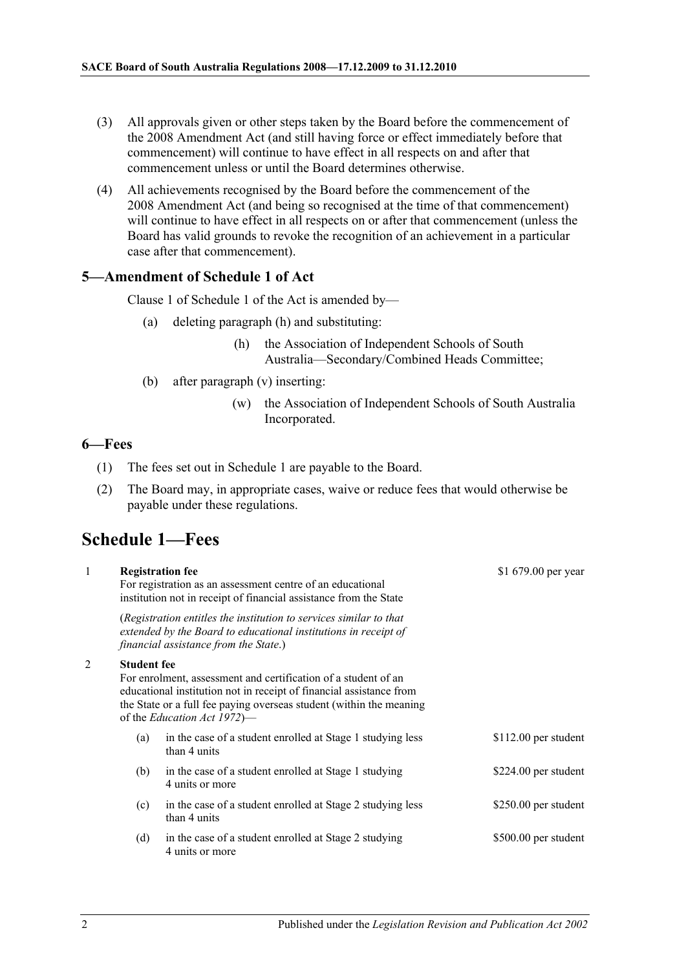- (3) All approvals given or other steps taken by the Board before the commencement of the 2008 Amendment Act (and still having force or effect immediately before that commencement) will continue to have effect in all respects on and after that commencement unless or until the Board determines otherwise.
- (4) All achievements recognised by the Board before the commencement of the 2008 Amendment Act (and being so recognised at the time of that commencement) will continue to have effect in all respects on or after that commencement (unless the Board has valid grounds to revoke the recognition of an achievement in a particular case after that commencement).

#### <span id="page-1-0"></span>**5—Amendment of Schedule 1 of Act**

Clause 1 of Schedule 1 of the Act is amended by—

- (a) deleting paragraph (h) and substituting:
	- (h) the Association of Independent Schools of South Australia—Secondary/Combined Heads Committee;
- (b) after paragraph (v) inserting:
	- (w) the Association of Independent Schools of South Australia Incorporated.

#### <span id="page-1-1"></span>**6—Fees**

- (1) The fees set out in Schedule 1 are payable to the Board.
- (2) The Board may, in appropriate cases, waive or reduce fees that would otherwise be payable under these regulations.

## <span id="page-1-2"></span>**Schedule 1—Fees**

|                    | <b>Registration fee</b><br>For registration as an assessment centre of an educational<br>institution not in receipt of financial assistance from the State                                                                                          | \$1 679.00 per year   |
|--------------------|-----------------------------------------------------------------------------------------------------------------------------------------------------------------------------------------------------------------------------------------------------|-----------------------|
|                    | (Registration entitles the institution to services similar to that<br>extended by the Board to educational institutions in receipt of<br>financial assistance from the State.)                                                                      |                       |
| <b>Student fee</b> | For enrolment, assessment and certification of a student of an<br>educational institution not in receipt of financial assistance from<br>the State or a full fee paying overseas student (within the meaning<br>of the <i>Education Act 1972</i> )— |                       |
| (a)                | in the case of a student enrolled at Stage 1 studying less<br>than 4 units                                                                                                                                                                          | $$112.00$ per student |
| (b)                | in the case of a student enrolled at Stage 1 studying<br>4 units or more                                                                                                                                                                            | \$224.00 per student  |
| (c)                | in the case of a student enrolled at Stage 2 studying less<br>than 4 units                                                                                                                                                                          | \$250.00 per student  |
| (d)                | in the case of a student enrolled at Stage 2 studying<br>4 units or more                                                                                                                                                                            | \$500.00 per student  |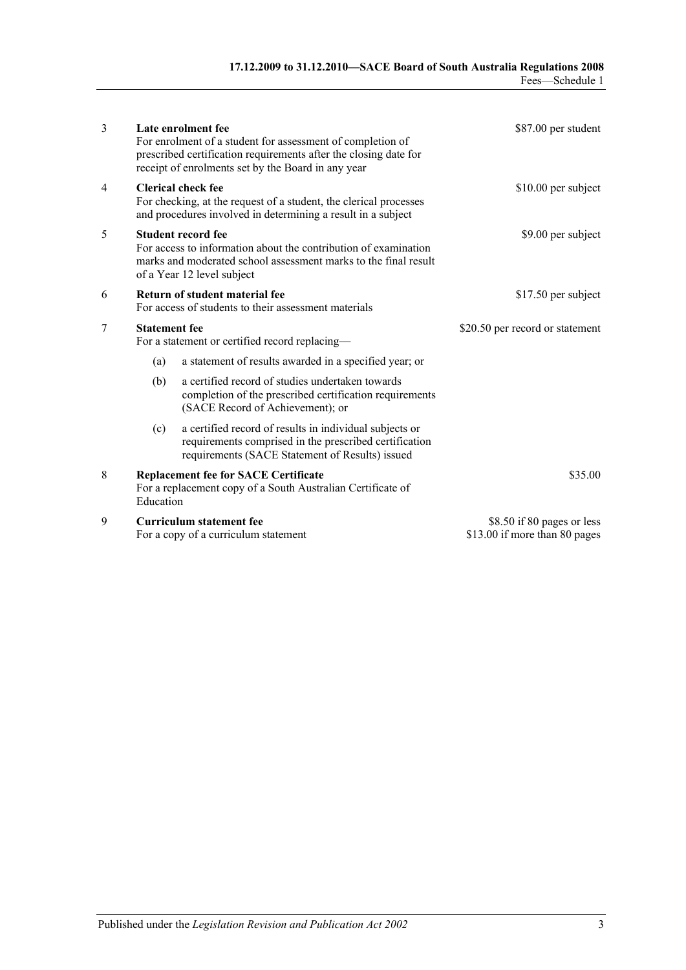| 3                        | Late enrolment fee<br>For enrolment of a student for assessment of completion of<br>prescribed certification requirements after the closing date for<br>receipt of enrolments set by the Board in any year |                                                                                                                                                                      | \$87.00 per student                                         |  |
|--------------------------|------------------------------------------------------------------------------------------------------------------------------------------------------------------------------------------------------------|----------------------------------------------------------------------------------------------------------------------------------------------------------------------|-------------------------------------------------------------|--|
| $\overline{\mathcal{A}}$ | <b>Clerical check fee</b><br>For checking, at the request of a student, the clerical processes<br>and procedures involved in determining a result in a subject                                             |                                                                                                                                                                      | $$10.00$ per subject                                        |  |
| 5                        | <b>Student record fee</b><br>For access to information about the contribution of examination<br>marks and moderated school assessment marks to the final result<br>of a Year 12 level subject              |                                                                                                                                                                      | \$9.00 per subject                                          |  |
| 6                        | Return of student material fee<br>For access of students to their assessment materials                                                                                                                     |                                                                                                                                                                      | \$17.50 per subject                                         |  |
| 7                        | <b>Statement</b> fee<br>For a statement or certified record replacing-                                                                                                                                     |                                                                                                                                                                      | \$20.50 per record or statement                             |  |
|                          | (a)                                                                                                                                                                                                        | a statement of results awarded in a specified year; or                                                                                                               |                                                             |  |
|                          | (b)                                                                                                                                                                                                        | a certified record of studies undertaken towards<br>completion of the prescribed certification requirements<br>(SACE Record of Achievement); or                      |                                                             |  |
|                          | (c)                                                                                                                                                                                                        | a certified record of results in individual subjects or<br>requirements comprised in the prescribed certification<br>requirements (SACE Statement of Results) issued |                                                             |  |
| 8                        | Education                                                                                                                                                                                                  | <b>Replacement fee for SACE Certificate</b><br>For a replacement copy of a South Australian Certificate of                                                           | \$35.00                                                     |  |
| 9                        |                                                                                                                                                                                                            | Curriculum statement fee<br>For a copy of a curriculum statement                                                                                                     | \$8.50 if 80 pages or less<br>\$13.00 if more than 80 pages |  |